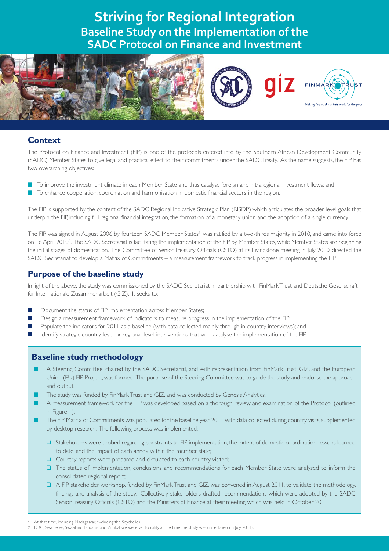**Striving for Regional Integration Baseline Study on the Implementation of the SADC Protocol on Finance and Investment**



# **Context**

The Protocol on Finance and Investment (FIP) is one of the protocols entered into by the Southern African Development Community (SADC) Member States to give legal and practical effect to their commitments under the SADC Treaty. As the name suggests, the FIP has two overarching objectives:

To improve the investment climate in each Member State and thus catalyse foreign and intraregional investment flows; and To enhance cooperation, coordination and harmonisation in domestic financial sectors in the region.

The FIP is supported by the content of the SADC Regional Indicative Strategic Plan (RISDP) which articulates the broader level goals that underpin the FIP, including full regional financial integration, the formation of a monetary union and the adoption of a single currency.

The FIP was signed in August 2006 by fourteen SADC Member States<sup>1</sup>, was ratified by a two-thirds majority in 2010, and came into force on 16 April 2010<sup>2</sup>. The SADC Secretariat is facilitating the implementation of the FIP by Member States, while Member States are beginning the initial stages of domestication. The Committee of Senior Treasury Officials (CSTO) at its Livingstone meeting in July 2010, directed the SADC Secretariat to develop a Matrix of Commitments – a measurement framework to track progress in implementing the FIP.

# **Purpose of the baseline study**

In light of the above, the study was commissioned by the SADC Secretariat in partnership with FinMark Trust and Deutsche Gesellschaft für Internationale Zusammenarbeit (GIZ). It seeks to:

- Document the status of FIP implementation across Member States;
- Design a measurement framework of indicators to measure progress in the implementation of the FIP;
- Populate the indicators for 2011 as a baseline (with data collected mainly through in-country interviews); and
- Identify strategic country-level or regional-level interventions that will caatalyse the implementation of the FIP.

# **Baseline study methodology**

- A Steering Committee, chaired by the SADC Secretariat, and with representation from FinMark Trust, GIZ, and the European Union (EU) FIP Project, was formed. The purpose of the Steering Committee was to guide the study and endorse the approach and output.
- The study was funded by FinMark Trust and GIZ, and was conducted by Genesis Analytics.
- A measurement framework for the FIP was developed based on a thorough review and examination of the Protocol (outlined in Figure 1).
- The FIP Matrix of Commitments was populated for the baseline year 2011 with data collected during country visits, supplemented by desktop research. The following process was implemented:
	- ❏ Stakeholders were probed regarding constraints to FIP implementation, the extent of domestic coordination, lessons learned to date, and the impact of each annex within the member state;
	- ❏ Country reports were prepared and circulated to each country visited;
	- ❏ The status of implementation, conclusions and recommendations for each Member State were analysed to inform the consolidated regional report;
	- ❏ A FIP stakeholder workshop, funded by FinMark Trust and GIZ, was convened in August 2011, to validate the methodology, findings and analysis of the study. Collectively, stakeholders drafted recommendations which were adopted by the SADC Senior Treasury Officials (CSTO) and the Ministers of Finance at their meeting which was held in October 2011.

At that time, including Madagascar, excluding the Seychelles.

<sup>2</sup> DRC, Seychelles, Swaziland, Tanzania and Zimbabwe were yet to ratify at the time the study was undertaken (in July 2011).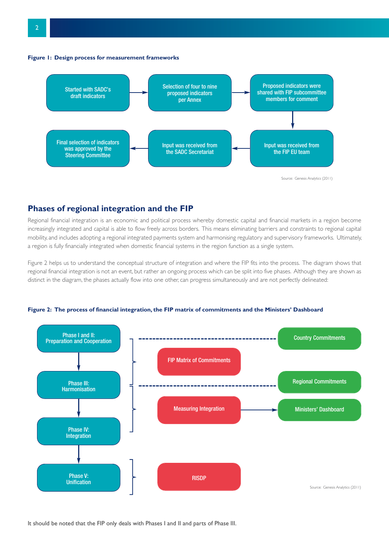



# **Phases of regional integration and the FIP**

Regional financial integration is an economic and political process whereby domestic capital and financial markets in a region become increasingly integrated and capital is able to flow freely across borders. This means eliminating barriers and constraints to regional capital mobility, and includes adopting a regional integrated payments system and harmonising regulatory and supervisory frameworks. Ultimately, a region is fully financially integrated when domestic financial systems in the region function as a single system.

Figure 2 helps us to understand the conceptual structure of integration and where the FIP fits into the process. The diagram shows that regional financial integration is not an event, but rather an ongoing process which can be split into five phases. Although they are shown as distinct in the diagram, the phases actually flow into one other, can progress simultaneously and are not perfectly delineated:



#### **Figure 2: The process of financial integration, the FIP matrix of commitments and the Ministers' Dashboard**

It should be noted that the FIP only deals with Phases I and II and parts of Phase III.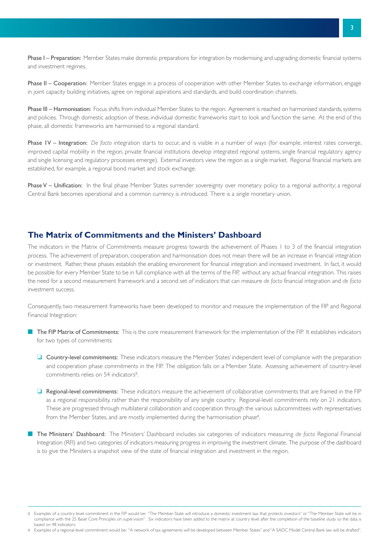Phase I – Preparation: Member States make domestic preparations for integration by modernising and upgrading domestic financial systems and investment regimes.

Phase II – Cooperation: Member States engage in a process of cooperation with other Member States to exchange information, engage in joint capacity building initiatives, agree on regional aspirations and standards, and build coordination channels.

Phase III - Harmonisation: Focus shifts from individual Member States to the region. Agreement is reached on harmonised standards, systems and policies. Through domestic adoption of these, individual domestic frameworks start to look and function the same. At the end of this phase, all domestic frameworks are harmonised to a regional standard.

Phase 1V – Integration: *De facto* integration starts to occur, and is visible in a number of ways (for example, interest rates converge, improved capital mobility in the region, private financial institutions develop integrated regional systems, single financial regulatory agency and single licensing and regulatory processes emerge). External investors view the region as a single market. Regional financial markets are established, for example, a regional bond market and stock exchange.

Phase V – Unification: In the final phase Member States surrender sovereignty over monetary policy to a regional authority; a regional Central Bank becomes operational and a common currency is introduced. There is a single monetary union.

# **The Matrix of Commitments and the Ministers' Dashboard**

The indicators in the Matrix of Commitments measure progress towards the achievement of Phases 1 to 3 of the financial integration process. The achievement of preparation, cooperation and harmonisation does not mean there will be an increase in financial integration or investment. Rather, these phases establish the enabling environment for financial integration and increased investment. In fact, it would be possible for every Member State to be in full compliance with all the terms of the FIP, without any actual financial integration. This raises the need for a second measurement framework and a second set of indicators that can measure *de facto* financial integration and *de facto* investment success.

Consequently, two measurement frameworks have been developed to monitor and measure the implementation of the FIP and Regional Financial Integration:

- The FIP Matrix of Commitments: This is the core measurement framework for the implementation of the FIP. It establishes indicators for two types of commitments:
	- ❏ Country-level commitments: These indicators measure the Member States' independent level of compliance with the preparation and cooperation phase commitments in the FIP. The obligation falls on a Member State. Assessing achievement of country-level commitments relies on 54 indicators<sup>3</sup>.
	- ❏ Regional-level commitments: These indicators measure the achievement of collaborative commitments that are framed in the FIP as a regional responsibility, rather than the responsibility of any single country. Regional-level commitments rely on 21 indicators. These are progressed through multilateral collaboration and cooperation through the various subcommittees with representatives from the Member States, and are mostly implemented during the harmonisation phase<sup>4</sup>.
- The Ministers' Dashboard: The Ministers' Dashboard includes six categories of indicators measuring de facto Regional Financial Integration (RFI) and two categories of indicators measuring progress in improving the investment climate. The purpose of the dashboard is to give the Ministers a snapshot view of the state of financial integration and investment in the region.

<sup>3</sup> Examples of a country-level commitment in the FIP would be: "The Member State will introduce a domestic investment law that protects investors" or "The Member State will be in compliance with the 25 Basel Core Principles on supervision". Six indicators have been added to the matrix at country level after the completion of the baseline study so the data is based on 48 indicators.

<sup>4</sup> Examples of a regional-level commitment would be: "A network of tax agreements will be developed between Member States" and "A SADC Model Central Bank law will be drafted".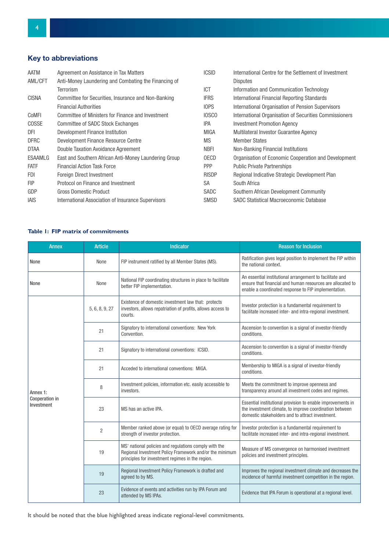# **Key to abbreviations**

| <b>AATM</b>    | Agreement on Assistance in Tax Matters                | <b>ICSID</b> | International Centre for the Settlement of Investment  |
|----------------|-------------------------------------------------------|--------------|--------------------------------------------------------|
| AML/CFT        | Anti-Money Laundering and Combating the Financing of  |              | <b>Disputes</b>                                        |
|                | <b>Terrorism</b>                                      | <b>ICT</b>   | Information and Communication Technology               |
| <b>CISNA</b>   | Committee for Securities, Insurance and Non-Banking   | <b>IFRS</b>  | International Financial Reporting Standards            |
|                | <b>Financial Authorities</b>                          | <b>IOPS</b>  | International Organisation of Pension Supervisors      |
| CoMFI          | Committee of Ministers for Finance and Investment     | <b>IOSCO</b> | International Organisation of Securities Commissioners |
| COSSE          | <b>Committee of SADC Stock Exchanges</b>              | <b>IPA</b>   | <b>Investment Promotion Agency</b>                     |
| DFI            | Development Finance Institution                       | <b>MIGA</b>  | Multilateral Investor Guarantee Agency                 |
| <b>DFRC</b>    | Development Finance Resource Centre                   | <b>MS</b>    | <b>Member States</b>                                   |
| <b>DTAA</b>    | Double Taxation Avoidance Agreement                   | <b>NBFI</b>  | Non-Banking Financial Institutions                     |
| <b>ESAAMLG</b> | East and Southern African Anti-Money Laundering Group | <b>OECD</b>  | Organisation of Economic Cooperation and Development   |
| <b>FATF</b>    | <b>Financial Action Task Force</b>                    | <b>PPP</b>   | <b>Public Private Partnerships</b>                     |
| <b>FDI</b>     | Foreign Direct Investment                             | <b>RISDP</b> | Regional Indicative Strategic Development Plan         |
| <b>FIP</b>     | Protocol on Finance and Investment                    | <b>SA</b>    | South Africa                                           |
| <b>GDP</b>     | Gross Domestic Product                                | <b>SADC</b>  | Southern African Development Community                 |
| <b>IAIS</b>    | International Association of Insurance Supervisors    | <b>SMSD</b>  | <b>SADC Statistical Macroeconomic Database</b>         |

### **Table 1: FIP matrix of commitments**

| <b>Annex</b>                 | <b>Article</b> | Indicator                                                                                                                                                            | <b>Reason for Inclusion</b>                                                                                                                                                    |
|------------------------------|----------------|----------------------------------------------------------------------------------------------------------------------------------------------------------------------|--------------------------------------------------------------------------------------------------------------------------------------------------------------------------------|
| None                         | None           | FIP instrument ratified by all Member States (MS).                                                                                                                   | Ratification gives legal position to implement the FIP within<br>the national context.                                                                                         |
| None                         | None           | National FIP coordinating structures in place to facilitate<br>better FIP implementation.                                                                            | An essential institutional arrangement to facilitate and<br>ensure that financial and human resources are allocated to<br>enable a coordinated response to FIP implementation. |
|                              | 5, 6, 8, 9, 27 | Existence of domestic investment law that: protects<br>investors, allows repatriation of profits, allows access to<br>courts.                                        | Investor protection is a fundamental requirement to<br>facilitate increased inter- and intra-regional investment.                                                              |
|                              | 21             | Signatory to international conventions: New York<br>Convention.                                                                                                      | Ascension to convention is a signal of investor-friendly<br>conditions.                                                                                                        |
|                              | 21             | Signatory to international conventions: ICSID.                                                                                                                       | Ascension to convention is a signal of investor-friendly<br>conditions.                                                                                                        |
|                              | 21             | Acceded to international conventions: MIGA.                                                                                                                          | Membership to MIGA is a signal of investor-friendly<br>conditions.                                                                                                             |
| Annex 1:                     | 8              | Investment policies, information etc. easily accessible to<br>investors.                                                                                             | Meets the commitment to improve openness and<br>transparency around all investment codes and regimes.                                                                          |
| Cooperation in<br>Investment | 23             | MS has an active IPA.                                                                                                                                                | Essential institutional provision to enable improvements in<br>the investment climate, to improve coordination between<br>domestic stakeholders and to attract investment.     |
|                              | $\overline{2}$ | Member ranked above (or equal) to OECD average rating for<br>strength of investor protection.                                                                        | Investor protection is a fundamental requirement to<br>facilitate increased inter- and intra-regional investment.                                                              |
|                              | 19             | MS' national policies and regulations comply with the<br>Regional Investment Policy Framework and/or the minimum<br>principles for investment regimes in the region. | Measure of MS convergence on harmonised investment<br>policies and investment principles.                                                                                      |
|                              | 19             | Regional Investment Policy Framework is drafted and<br>agreed to by MS.                                                                                              | Improves the regional investment climate and decreases the<br>incidence of harmful investment competition in the region.                                                       |
|                              | 23             | Evidence of events and activities run by IPA Forum and<br>attended by MS IPAs.                                                                                       | Evidence that IPA Forum is operational at a regional level.                                                                                                                    |

It should be noted that the blue highlighted areas indicate regional-level commitments.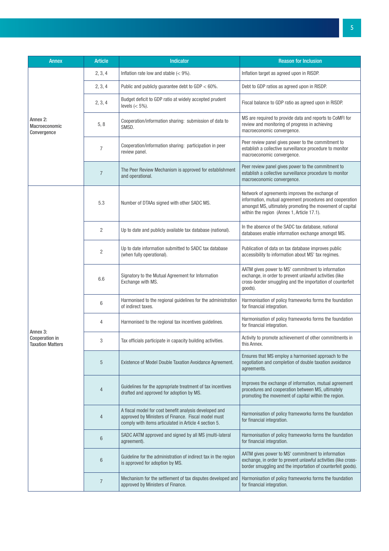| Annex                                     | <b>Article</b> | Indicator                                                                                                                                                              | <b>Reason for Inclusion</b>                                                                                                                                                                                          |
|-------------------------------------------|----------------|------------------------------------------------------------------------------------------------------------------------------------------------------------------------|----------------------------------------------------------------------------------------------------------------------------------------------------------------------------------------------------------------------|
|                                           | 2, 3, 4        | Inflation rate low and stable $(< 9\%$ ).                                                                                                                              | Inflation target as agreed upon in RISDP.                                                                                                                                                                            |
|                                           | 2, 3, 4        | Public and publicly guarantee debt to GDP $<$ 60%.                                                                                                                     | Debt to GDP ratios as agreed upon in RISDP.                                                                                                                                                                          |
|                                           | 2, 3, 4        | Budget deficit to GDP ratio at widely accepted prudent<br>levels $(< 5\%$ ).                                                                                           | Fiscal balance to GDP ratio as agreed upon in RISDP.                                                                                                                                                                 |
| Annex 2:<br>Macroeconomic<br>Convergence  | 5, 8           | Cooperation/information sharing: submission of data to<br>SMSD.                                                                                                        | MS are required to provide data and reports to CoMFI for<br>review and monitoring of progress in achieving<br>macroeconomic convergence.                                                                             |
|                                           | $\overline{7}$ | Cooperation/information sharing: participation in peer<br>review panel.                                                                                                | Peer review panel gives power to the commitment to<br>establish a collective surveillance procedure to monitor<br>macroeconomic convergence.                                                                         |
|                                           | $\overline{7}$ | The Peer Review Mechanism is approved for establishment<br>and operational.                                                                                            | Peer review panel gives power to the commitment to<br>establish a collective surveillance procedure to monitor<br>macroeconomic convergence.                                                                         |
|                                           | 5.3            | Number of DTAAs signed with other SADC MS.                                                                                                                             | Network of agreements improves the exchange of<br>information, mutual agreement procedures and cooperation<br>amongst MS, ultimately promoting the movement of capital<br>within the region (Annex 1, Article 17.1). |
|                                           | $\overline{2}$ | Up to date and publicly available tax database (national).                                                                                                             | In the absence of the SADC tax database, national<br>databases enable information exchange amongst MS.                                                                                                               |
|                                           | $\overline{c}$ | Up to date information submitted to SADC tax database<br>(when fully operational).                                                                                     | Publication of data on tax database improves public<br>accessibility to information about MS' tax regimes.                                                                                                           |
|                                           | 6.6            | Signatory to the Mutual Agreement for Information<br>Exchange with MS.                                                                                                 | AATM gives power to MS' commitment to information<br>exchange, in order to prevent unlawful activities (like<br>cross-border smuggling and the importation of counterfeit<br>goods).                                 |
|                                           | 6              | Harmonised to the regional guidelines for the administration<br>of indirect taxes.                                                                                     | Harmonisation of policy frameworks forms the foundation<br>for financial integration.                                                                                                                                |
| Annex 3:                                  | 4              | Harmonised to the regional tax incentives guidelines.                                                                                                                  | Harmonisation of policy frameworks forms the foundation<br>for financial integration.                                                                                                                                |
| Cooperation in<br><b>Taxation Matters</b> | 3              | Tax officials participate in capacity building activities.                                                                                                             | Activity to promote achievement of other commitments in<br>this Annex.                                                                                                                                               |
|                                           | 5              | Existence of Model Double Taxation Avoidance Agreement.                                                                                                                | Ensures that MS employ a harmonised approach to the<br>negotiation and completion of double taxation avoidance<br>agreements.                                                                                        |
|                                           | $\overline{4}$ | Guidelines for the appropriate treatment of tax incentives<br>drafted and approved for adoption by MS.                                                                 | Improves the exchange of information, mutual agreement<br>procedures and cooperation between MS, ultimately<br>promoting the movement of capital within the region.                                                  |
|                                           | $\overline{4}$ | A fiscal model for cost benefit analysis developed and<br>approved by Ministers of Finance. Fiscal model must<br>comply with items articulated in Article 4 section 5. | Harmonisation of policy frameworks forms the foundation<br>for financial integration.                                                                                                                                |
|                                           | 6              | SADC AATM approved and signed by all MS (multi-lateral<br>agreement).                                                                                                  | Harmonisation of policy frameworks forms the foundation<br>for financial integration.                                                                                                                                |
|                                           | 6              | Guideline for the administration of indirect tax in the region<br>is approved for adoption by MS.                                                                      | AATM gives power to MS' commitment to information<br>exchange, in order to prevent unlawful activities (like cross-<br>border smuggling and the importation of counterfeit goods).                                   |
|                                           | $\overline{7}$ | Mechanism for the settlement of tax disputes developed and<br>approved by Ministers of Finance.                                                                        | Harmonisation of policy frameworks forms the foundation<br>for financial integration.                                                                                                                                |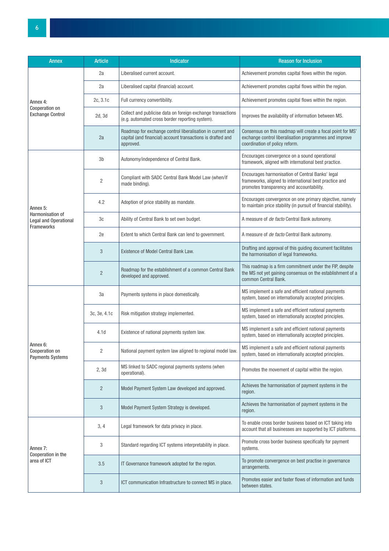| <b>Annex</b>                                     | <b>Article</b> | <b>Indicator</b>                                                                                                                       | <b>Reason for Inclusion</b>                                                                                                                             |
|--------------------------------------------------|----------------|----------------------------------------------------------------------------------------------------------------------------------------|---------------------------------------------------------------------------------------------------------------------------------------------------------|
|                                                  | 2a             | Liberalised current account.                                                                                                           | Achievement promotes capital flows within the region.                                                                                                   |
|                                                  | 2a             | Liberalised capital (financial) account.                                                                                               | Achievement promotes capital flows within the region.                                                                                                   |
| Annex 4:                                         | 2c, 3.1c       | Full currency convertibility.                                                                                                          | Achievement promotes capital flows within the region.                                                                                                   |
| Cooperation on<br><b>Exchange Control</b>        | 2d, 3d         | Collect and publicise data on foreign exchange transactions<br>(e.g. automated cross border reporting system).                         | Improves the availability of information between MS.                                                                                                    |
|                                                  | 2a             | Roadmap for exchange control liberalisation in current and<br>capital (and financial) account transactions is drafted and<br>approved. | Consensus on this roadmap will create a focal point for MS'<br>exchange control liberalisation programmes and improve<br>coordination of policy reform. |
|                                                  | 3b             | Autonomy/independence of Central Bank.                                                                                                 | Encourages convergence on a sound operational<br>framework, aligned with international best practice.                                                   |
|                                                  | $\overline{2}$ | Compliant with SADC Central Bank Model Law (when/if<br>made binding).                                                                  | Encourages harmonisation of Central Banks' legal<br>frameworks, aligned to international best practice and<br>promotes transparency and accountability. |
| Annex 5:                                         | 4.2            | Adoption of price stability as mandate.                                                                                                | Encourages convergence on one primary objective, namely<br>to maintain price stability (in pursuit of financial stability).                             |
| Harmonisation of<br><b>Legal and Operational</b> | 3c             | Ability of Central Bank to set own budget.                                                                                             | A measure of de facto Central Bank autonomy.                                                                                                            |
| <b>Frameworks</b>                                | 2e             | Extent to which Central Bank can lend to government.                                                                                   | A measure of de facto Central Bank autonomy.                                                                                                            |
|                                                  | 3              | Existence of Model Central Bank Law.                                                                                                   | Drafting and approval of this guiding document facilitates<br>the harmonisation of legal frameworks.                                                    |
|                                                  | $\overline{2}$ | Roadmap for the establishment of a common Central Bank<br>developed and approved.                                                      | This roadmap is a firm commitment under the FIP, despite<br>the MS not yet gaining consensus on the establishment of a<br>common Central Bank.          |
|                                                  | 3a             | Payments systems in place domestically.                                                                                                | MS implement a safe and efficient national payments<br>system, based on internationally accepted principles.                                            |
|                                                  | 3c, 3e, 4.1c   | Risk mitigation strategy implemented.                                                                                                  | MS implement a safe and efficient national payments<br>system, based on internationally accepted principles.                                            |

|                                                       | 3c, 3e, 4.1c   | Risk mitigation strategy implemented.                              | MS implement a safe and efficient national payments<br>system, based on internationally accepted principles.            |
|-------------------------------------------------------|----------------|--------------------------------------------------------------------|-------------------------------------------------------------------------------------------------------------------------|
|                                                       | 4.1d           | Existence of national payments system law.                         | MS implement a safe and efficient national payments<br>system, based on internationally accepted principles.            |
| Annex 6:<br>Cooperation on<br><b>Payments Systems</b> | $\overline{2}$ | National payment system law aligned to regional model law.         | MS implement a safe and efficient national payments<br>system, based on internationally accepted principles.            |
|                                                       | 2, 3d          | MS linked to SADC regional payments systems (when<br>operational). | Promotes the movement of capital within the region.                                                                     |
|                                                       | $\overline{2}$ | Model Payment System Law developed and approved.                   | Achieves the harmonisation of payment systems in the<br>region.                                                         |
|                                                       | 3              | Model Payment System Strategy is developed.                        | Achieves the harmonisation of payment systems in the<br>region.                                                         |
|                                                       | 3, 4           | Legal framework for data privacy in place.                         | To enable cross border business based on ICT taking into<br>account that all businesses are supported by ICT platforms. |
| Annex 7:<br>Cooperation in the                        | 3              | Standard regarding ICT systems interpretability in place.          | Promote cross border business specifically for payment<br>systems.                                                      |
| area of ICT                                           | 3.5            | IT Governance framework adopted for the region.                    | To promote convergence on best practise in governance<br>arrangements.                                                  |
|                                                       | 3              | ICT communication Infrastructure to connect MS in place.           | Promotes easier and faster flows of information and funds<br>between states.                                            |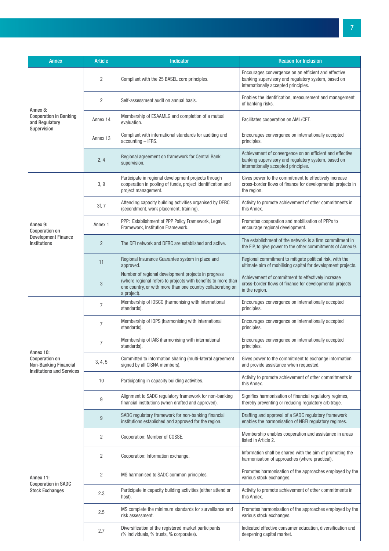| Annex                                                                       | <b>Article</b>     | <b>Indicator</b>                                                                                                                                                                                   | <b>Reason for Inclusion</b>                                                                                                                             |
|-----------------------------------------------------------------------------|--------------------|----------------------------------------------------------------------------------------------------------------------------------------------------------------------------------------------------|---------------------------------------------------------------------------------------------------------------------------------------------------------|
|                                                                             | 2                  | Compliant with the 25 BASEL core principles.                                                                                                                                                       | Encourages convergence on an efficient and effective<br>banking supervisory and regulatory system, based on<br>internationally accepted principles.     |
|                                                                             | $\overline{c}$     | Self-assessment audit on annual basis.                                                                                                                                                             | Enables the identification, measurement and management<br>of banking risks.                                                                             |
| Annex 8:<br><b>Cooperation in Banking</b><br>and Regulatory                 | Annex 14           | Membership of ESAAMLG and completion of a mutual<br>evaluation.                                                                                                                                    | Facilitates cooperation on AML/CFT.                                                                                                                     |
| Supervision                                                                 | Annex 13           | Compliant with international standards for auditing and<br>accounting - IFRS.                                                                                                                      | Encourages convergence on internationally accepted<br>principles.                                                                                       |
|                                                                             | 2, 4               | Regional agreement on framework for Central Bank<br>supervision.                                                                                                                                   | Achievement of convergence on an efficient and effective<br>banking supervisory and regulatory system, based on<br>internationally accepted principles. |
|                                                                             | 3,9                | Participate in regional development projects through<br>cooperation in pooling of funds, project identification and<br>project management.                                                         | Gives power to the commitment to effectively increase<br>cross-border flows of finance for developmental projects in<br>the region.                     |
|                                                                             | 3f, 7              | Attending capacity building activities organised by DFRC<br>(secondment, work placement, training).                                                                                                | Activity to promote achievement of other commitments in<br>this Annex.                                                                                  |
| Annex 9:<br>Cooperation on                                                  | Annex <sub>1</sub> | PPP: Establishment of PPP Policy Framework, Legal<br>Framework, Institution Framework.                                                                                                             | Promotes cooperation and mobilisation of PPPs to<br>encourage regional development.                                                                     |
| <b>Development Finance</b><br><b>Institutions</b>                           | $\overline{2}$     | The DFI network and DFRC are established and active.                                                                                                                                               | The establishment of the network is a firm commitment in<br>the FIP, to give power to the other commitments of Annex 9.                                 |
|                                                                             | 11                 | Regional Insurance Guarantee system in place and<br>approved.                                                                                                                                      | Regional commitment to mitigate political risk, with the<br>ultimate aim of mobilising capital for development projects.                                |
|                                                                             | 3                  | Number of regional development projects in progress<br>(where regional refers to projects with benefits to more than<br>one country, or with more than one country collaborating on<br>a project). | Achievement of commitment to effectively increase<br>cross-border flows of finance for developmental projects<br>in the region.                         |
|                                                                             | 7                  | Membership of IOSCO (harmonising with international<br>standards).                                                                                                                                 | Encourages convergence on internationally accepted<br>principles.                                                                                       |
|                                                                             | $\overline{7}$     | Membership of IOPS (harmonising with international<br>standards).                                                                                                                                  | Encourages convergence on internationally accepted<br>principles.                                                                                       |
| Annex 10:                                                                   | 7                  | Membership of IAIS (harmonising with international<br>standards).                                                                                                                                  | Encourages convergence on internationally accepted<br>principles.                                                                                       |
| Cooperation on<br>Non-Banking Financial<br><b>Institutions and Services</b> | 3, 4, 5            | Committed to information sharing (multi-lateral agreement<br>signed by all CISNA members).                                                                                                         | Gives power to the commitment to exchange information<br>and provide assistance when requested.                                                         |
|                                                                             | 10                 | Participating in capacity building activities.                                                                                                                                                     | Activity to promote achievement of other commitments in<br>this Annex.                                                                                  |
|                                                                             | 9                  | Alignment to SADC regulatory framework for non-banking<br>financial institutions (when drafted and approved).                                                                                      | Signifies harmonisation of financial regulatory regimes,<br>thereby preventing or reducing regulatory arbitrage.                                        |
|                                                                             | 9                  | SADC regulatory framework for non-banking financial<br>institutions established and approved for the region.                                                                                       | Drafting and approval of a SADC regulatory framework<br>enables the harmonisation of NBFI requlatory regimes.                                           |
|                                                                             | $\overline{2}$     | Cooperation: Member of COSSE.                                                                                                                                                                      | Membership enables cooperation and assistance in areas<br>listed in Article 2.                                                                          |
|                                                                             | 2                  | Cooperation: Information exchange.                                                                                                                                                                 | Information shall be shared with the aim of promoting the<br>harmonisation of approaches (where practical).                                             |
| Annex 11:<br><b>Cooperation in SADC</b>                                     | 2                  | MS harmonised to SADC common principles.                                                                                                                                                           | Promotes harmonisation of the approaches employed by the<br>various stock exchanges.                                                                    |
| <b>Stock Exchanges</b>                                                      | 2.3                | Participate in capacity building activities (either attend or<br>host).                                                                                                                            | Activity to promote achievement of other commitments in<br>this Annex.                                                                                  |
|                                                                             | 2.5                | MS complete the minimum standards for surveillance and<br>risk assessment.                                                                                                                         | Promotes harmonisation of the approaches employed by the<br>various stock exchanges.                                                                    |
|                                                                             | 2.7                | Diversification of the registered market participants<br>(% individuals, % trusts, % corporates).                                                                                                  | Indicated effective consumer education, diversification and<br>deepening capital market.                                                                |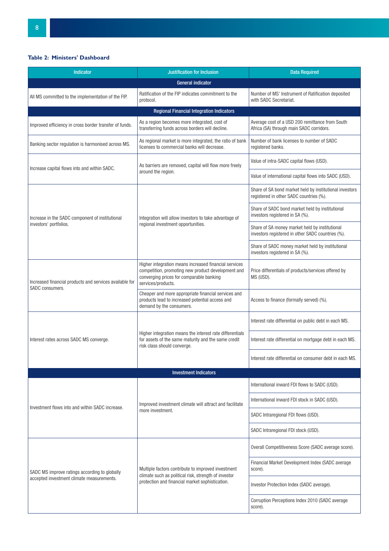| Indicator                                                                  | <b>Justification for Inclusion</b>                                                                                                                                            | <b>Data Required</b>                                                                                |  |  |
|----------------------------------------------------------------------------|-------------------------------------------------------------------------------------------------------------------------------------------------------------------------------|-----------------------------------------------------------------------------------------------------|--|--|
| <b>General indicator</b>                                                   |                                                                                                                                                                               |                                                                                                     |  |  |
| All MS committed to the implementation of the FIP.                         | Ratification of the FIP indicates commitment to the<br>protocol.                                                                                                              | Number of MS' Instrument of Ratification deposited<br>with SADC Secretariat.                        |  |  |
|                                                                            | <b>Regional Financial Integration Indicators</b>                                                                                                                              |                                                                                                     |  |  |
| Improved efficiency in cross border transfer of funds.                     | As a region becomes more integrated, cost of<br>transferring funds across borders will decline.                                                                               | Average cost of a USD 200 remittance from South<br>Africa (SA) through main SADC corridors.         |  |  |
| Banking sector regulation is harmonised across MS.                         | As regional market is more integrated, the ratio of bank<br>licenses to commercial banks will decrease.                                                                       | Number of bank licenses to number of SADC<br>registered banks.                                      |  |  |
| Increase capital flows into and within SADC.                               | As barriers are removed, capital will flow more freely                                                                                                                        | Value of intra-SADC capital flows (USD).                                                            |  |  |
|                                                                            | around the region.                                                                                                                                                            | Value of international capital flows into SADC (USD).                                               |  |  |
|                                                                            |                                                                                                                                                                               | Share of SA bond market held by institutional investors<br>registered in other SADC countries (%).  |  |  |
| Increase in the SADC component of institutional                            | Integration will allow investors to take advantage of                                                                                                                         | Share of SADC bond market held by institutional<br>investors registered in SA (%).                  |  |  |
| investors' portfolios.                                                     | regional investment opportunities.                                                                                                                                            | Share of SA money market held by institutional<br>investors registered in other SADC countries (%). |  |  |
|                                                                            |                                                                                                                                                                               | Share of SADC money market held by institutional<br>investors registered in SA (%).                 |  |  |
| Increased financial products and services available for<br>SADC consumers. | Higher integration means increased financial services<br>competition, promoting new product development and<br>converging prices for comparable banking<br>services/products. | Price differentials of products/services offered by<br>MS (USD).                                    |  |  |
|                                                                            | Cheaper and more appropriate financial services and<br>products lead to increased potential access and<br>demand by the consumers.                                            | Access to finance (formally served) (%).                                                            |  |  |
|                                                                            | Higher integration means the interest rate differentials<br>for assets of the same maturity and the same credit<br>risk class should converge.                                | Interest rate differential on public debt in each MS.                                               |  |  |
| Interest rates across SADC MS converge.                                    |                                                                                                                                                                               | Interest rate differential on mortgage debt in each MS.                                             |  |  |
|                                                                            |                                                                                                                                                                               | Interest rate differential on consumer debt in each MS.                                             |  |  |
| <b>Investment Indicators</b>                                               |                                                                                                                                                                               |                                                                                                     |  |  |
|                                                                            | Improved investment climate will attract and facilitate<br>more investment.                                                                                                   | International inward FDI flows to SADC (USD).                                                       |  |  |
| Investment flows into and within SADC increase.                            |                                                                                                                                                                               | International inward FDI stock in SADC (USD).                                                       |  |  |
|                                                                            |                                                                                                                                                                               | SADC Intraregional FDI flows (USD).                                                                 |  |  |
|                                                                            |                                                                                                                                                                               | SADC Intraregional FDI stock (USD).                                                                 |  |  |
|                                                                            |                                                                                                                                                                               | Overall Competitiveness Score (SADC average score).                                                 |  |  |
| SADC MS improve ratings according to globally                              | Multiple factors contribute to improved investment<br>climate such as political risk, strength of investor                                                                    | Financial Market Development Index (SADC average<br>score).                                         |  |  |
| accepted investment climate measurements.                                  | protection and financial market sophistication.                                                                                                                               | Investor Protection Index (SADC average).                                                           |  |  |
|                                                                            |                                                                                                                                                                               | Corruption Perceptions Index 2010 (SADC average<br>score).                                          |  |  |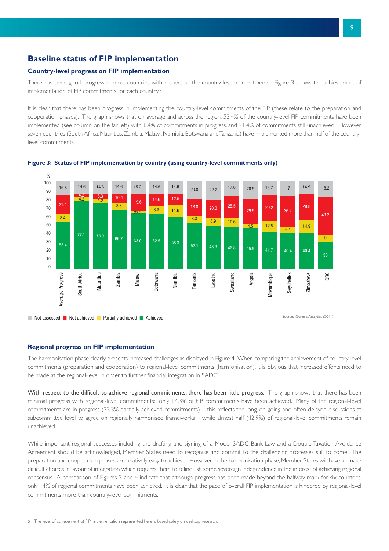# **Baseline status of FIP implementation**

### **Country-level progress on FIP implementation**

There has been good progress in most countries with respect to the country-level commitments. Figure 3 shows the achievement of implementation of FIP commitments for each country<sup>5</sup>.

It is clear that there has been progress in implementing the country-level commitments of the FIP (these relate to the preparation and cooperation phases). The graph shows that on average and across the region, 53.4% of the country-level FIP commitments have been implemented (see column on the far left) with 8.4% of commitments in progress, and 21.4% of commitments still unachieved. However, seven countries (South Africa, Mauritius, Zambia, Malawi, Namibia, Botswana and Tanzania) have implemented more than half of the countrylevel commitments.





### **Regional progress on FIP implementation**

The harmonisation phase clearly presents increased challenges as displayed in Figure 4. When comparing the achievement of country-level commitments (preparation and cooperation) to regional-level commitments (harmonisation), it is obvious that increased efforts need to be made at the regional-level in order to further financial integration in SADC.

With respect to the difficult-to-achieve regional commitments, there has been little progress. The graph shows that there has been minimal progress with regional-level commitments: only 14.3% of FIP commitments have been achieved. Many of the regional-level commitments are in progress (33.3% partially achieved commitments) – this reflects the long, on-going and often delayed discussions at subcommittee level to agree on regionally harmonised frameworks – while almost half (42.9%) of regional-level commitments remain unachieved.

While important regional successes including the drafting and signing of a Model SADC Bank Law and a Double Taxation Avoidance Agreement should be acknowledged, Member States need to recognise and commit to the challenging processes still to come. The preparation and cooperation phases are relatively easy to achieve. However, in the harmonisation phase, Member States will have to make difficult choices in favour of integration which requires them to relinquish some sovereign independence in the interest of achieving regional consensus. A comparison of Figures 3 and 4 indicate that although progress has been made beyond the halfway mark for six countries, only 14% of regional commitments have been achieved. It is clear that the pace of overall FIP implementation is hindered by regional-level commitments more than country-level commitments.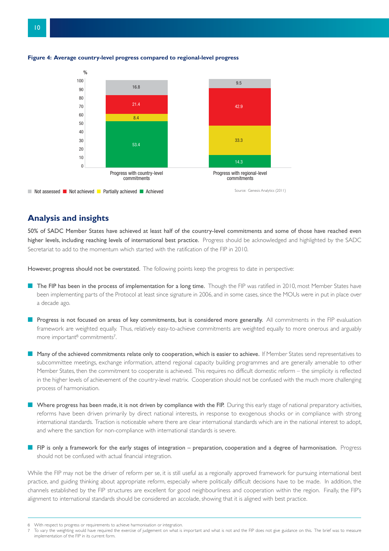

#### **Figure 4: Average country-level progress compared to regional-level progress**

# **Analysis and insights**

50% of SADC Member States have achieved at least half of the country-level commitments and some of those have reached even higher levels, including reaching levels of international best practice. Progress should be acknowledged and highlighted by the SADC Secretariat to add to the momentum which started with the ratification of the FIP in 2010.

However, progress should not be overstated. The following points keep the progress to date in perspective:

- The FIP has been in the process of implementation for a long time. Though the FIP was ratified in 2010, most Member States have been implementing parts of the Protocol at least since signature in 2006, and in some cases, since the MOUs were in put in place over a decade ago.
- Progress is not focused on areas of key commitments, but is considered more generally. All commitments in the FIP evaluation framework are weighted equally. Thus, relatively easy-to-achieve commitments are weighted equally to more onerous and arguably more important<sup>6</sup> commitments<sup>7</sup>.
- Many of the achieved commitments relate only to cooperation, which is easier to achieve. If Member States send representatives to subcommittee meetings, exchange information, attend regional capacity building programmes and are generally amenable to other Member States, then the commitment to cooperate is achieved. This requires no difficult domestic reform – the simplicity is reflected in the higher levels of achievement of the country-level matrix. Cooperation should not be confused with the much more challenging process of harmonisation.
- Where progress has been made, it is not driven by compliance with the FIP. During this early stage of national preparatory activities, reforms have been driven primarily by direct national interests, in response to exogenous shocks or in compliance with strong international standards. Traction is noticeable where there are clear international standards which are in the national interest to adopt, and where the sanction for non-compliance with international standards is severe.
- FIP is only a framework for the early stages of integration preparation, cooperation and a degree of harmonisation. Progress should not be confused with actual financial integration.

While the FIP may not be the driver of reform per se, it is still useful as a regionally approved framework for pursuing international best practice, and guiding thinking about appropriate reform, especially where politically difficult decisions have to be made. In addition, the channels established by the FIP structures are excellent for good neighbourliness and cooperation within the region. Finally, the FIP's alignment to international standards should be considered an accolade, showing that it is aligned with best practice.

<sup>6</sup> With respect to progress or requirements to achieve harmonisation or integration.

To vary the weighting would have required the exercise of judgement on what is important and what is not and the FIP does not give guidance on this. The brief was to measure implementation of the FIP in its current form.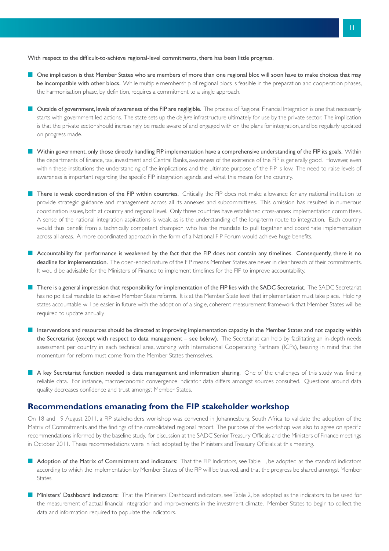With respect to the difficult-to-achieve regional-level commitments, there has been little progress.

- One implication is that Member States who are members of more than one regional bloc will soon have to make choices that may be incompatible with other blocs. While multiple membership of regional blocs is feasible in the preparation and cooperation phases, the harmonisation phase, by definition, requires a commitment to a single approach.
- Outside of government, levels of awareness of the FIP are negligible. The process of Regional Financial Integration is one that necessarily starts with government led actions. The state sets up the *de jure* infrastructure ultimately for use by the private sector. The implication is that the private sector should increasingly be made aware of and engaged with on the plans for integration, and be regularly updated on progress made.
- Within government, only those directly handling FIP implementation have a comprehensive understanding of the FIP its goals. Within the departments of finance, tax, investment and Central Banks, awareness of the existence of the FIP is generally good. However, even within these institutions the understanding of the implications and the ultimate purpose of the FIP is low. The need to raise levels of awareness is important regarding the specific FIP integration agenda and what this means for the country.
- There is weak coordination of the FIP within countries. Critically, the FIP does not make allowance for any national institution to provide strategic guidance and management across all its annexes and subcommittees. This omission has resulted in numerous coordination issues, both at country and regional level. Only three countries have established cross-annex implementation committees. A sense of the national integration aspirations is weak, as is the understanding of the long-term route to integration. Each country would thus benefit from a technically competent champion, who has the mandate to pull together and coordinate implementation across all areas. A more coordinated approach in the form of a National FIP Forum would achieve huge benefits.
- Accountability for performance is weakened by the fact that the FIP does not contain any timelines. Consequently, there is no deadline for implementation. The open-ended nature of the FIP means Member States are never in clear breach of their commitments. It would be advisable for the Ministers of Finance to implement timelines for the FIP to improve accountability.
- There is a general impression that responsibility for implementation of the FIP lies with the SADC Secretariat. The SADC Secretariat has no political mandate to achieve Member State reforms. It is at the Member State level that implementation must take place. Holding states accountable will be easier in future with the adoption of a single, coherent measurement framework that Member States will be required to update annually.
- Interventions and resources should be directed at improving implementation capacity in the Member States and not capacity within the Secretariat (except with respect to data management - see below). The Secretariat can help by facilitating an in-depth needs assessment per country in each technical area, working with International Cooperating Partners (ICPs), bearing in mind that the momentum for reform must come from the Member States themselves.
- A key Secretariat function needed is data management and information sharing. One of the challenges of this study was finding reliable data. For instance, macroeconomic convergence indicator data differs amongst sources consulted. Questions around data quality decreases confidence and trust amongst Member States.

## **Recommendations emanating from the FIP stakeholder workshop**

On 18 and 19 August 2011, a FIP stakeholders workshop was convened in Johannesburg, South Africa to validate the adoption of the Matrix of Commitments and the findings of the consolidated regional report. The purpose of the workshop was also to agree on specific recommendations informed by the baseline study, for discussion at the SADC Senior Treasury Officials and the Ministers of Finance meetings in October 2011. These recommedations were in fact adopted by the Ministers and Treasury Officials at this meeting.

- Adoption of the Matrix of Commitment and indicators: That the FIP Indicators, see Table 1, be adopted as the standard indicators according to which the implementation by Member States of the FIP will be tracked, and that the progress be shared amongst Member States.
- Ministers' Dashboard indicators: That the Ministers' Dashboard indicators, see Table 2, be adopted as the indicators to be used for the measurement of actual financial integration and improvements in the investment climate. Member States to begin to collect the data and information required to populate the indicators.